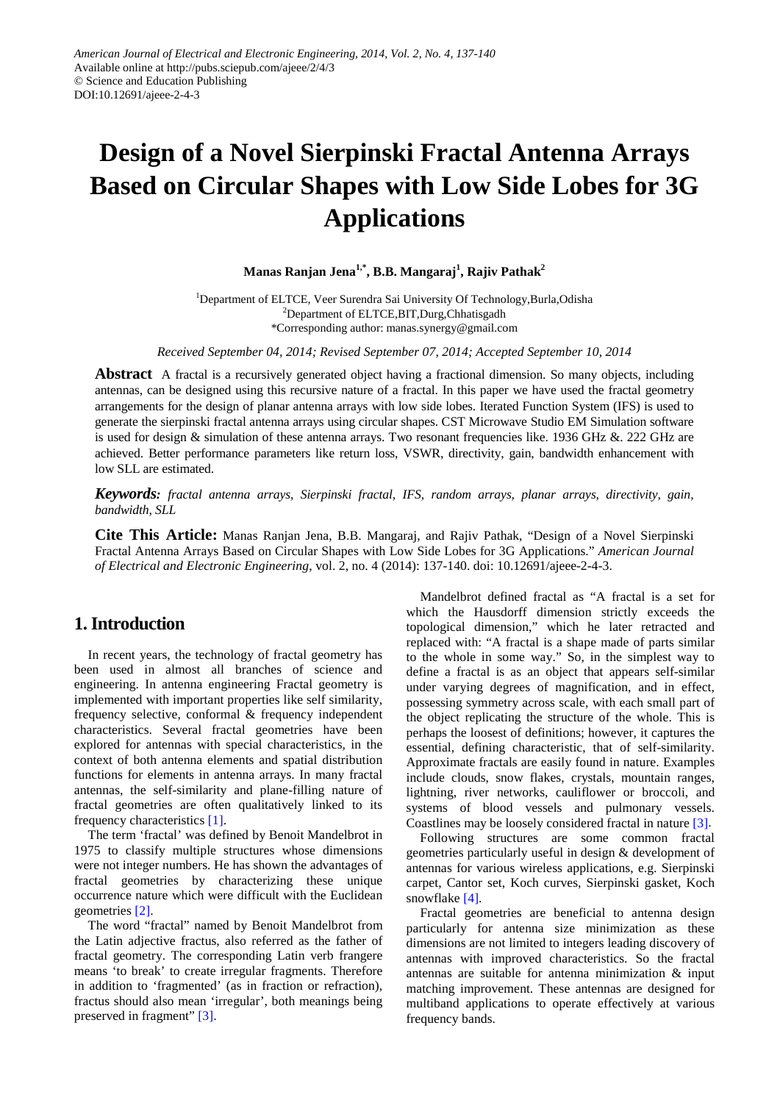# **Design of a Novel Sierpinski Fractal Antenna Arrays Based on Circular Shapes with Low Side Lobes for 3G Applications**

## **Manas Ranjan Jena1,\*, B.B. Mangaraj<sup>1</sup> , Rajiv Pathak2**

<sup>1</sup>Department of ELTCE, Veer Surendra Sai University Of Technology,Burla,Odisha <sup>2</sup>Department of ELTCE, BIT, Durg, Chhatisgadh \*Corresponding author: manas.synergy@gmail.com

*Received September 04, 2014; Revised September 07, 2014; Accepted September 10, 2014*

**Abstract** A fractal is a recursively generated object having a fractional dimension. So many objects, including antennas, can be designed using this recursive nature of a fractal. In this paper we have used the fractal geometry arrangements for the design of planar antenna arrays with low side lobes. Iterated Function System (IFS) is used to generate the sierpinski fractal antenna arrays using circular shapes. CST Microwave Studio EM Simulation software is used for design & simulation of these antenna arrays. Two resonant frequencies like. 1936 GHz &. 222 GHz are achieved. Better performance parameters like return loss, VSWR, directivity, gain, bandwidth enhancement with low SLL are estimated.

*Keywords: fractal antenna arrays, Sierpinski fractal, IFS, random arrays, planar arrays, directivity, gain, bandwidth, SLL*

**Cite This Article:** Manas Ranjan Jena, B.B. Mangaraj, and Rajiv Pathak, "Design of a Novel Sierpinski Fractal Antenna Arrays Based on Circular Shapes with Low Side Lobes for 3G Applications." *American Journal of Electrical and Electronic Engineering*, vol. 2, no. 4 (2014): 137-140. doi: 10.12691/ajeee-2-4-3.

# **1. Introduction**

In recent years, the technology of fractal geometry has been used in almost all branches of science and engineering. In antenna engineering Fractal geometry is implemented with important properties like self similarity, frequency selective, conformal & frequency independent characteristics. Several fractal geometries have been explored for antennas with special characteristics, in the context of both antenna elements and spatial distribution functions for elements in antenna arrays. In many fractal antennas, the self-similarity and plane-filling nature of fractal geometries are often qualitatively linked to its frequency characteristics [\[1\].](#page-3-0)

The term 'fractal' was defined by Benoit Mandelbrot in 1975 to classify multiple structures whose dimensions were not integer numbers. He has shown the advantages of fractal geometries by characterizing these unique occurrence nature which were difficult with the Euclidean geometries [\[2\].](#page-3-1)

The word "fractal" named by Benoit Mandelbrot from the Latin adjective fractus, also referred as the father of fractal geometry. The corresponding Latin verb frangere means 'to break' to create irregular fragments. Therefore in addition to 'fragmented' (as in fraction or refraction), fractus should also mean 'irregular', both meanings being preserved in fragment" [\[3\].](#page-3-2)

Mandelbrot defined fractal as "A fractal is a set for which the Hausdorff dimension strictly exceeds the topological dimension," which he later retracted and replaced with: "A fractal is a shape made of parts similar to the whole in some way." So, in the simplest way to define a fractal is as an object that appears self-similar under varying degrees of magnification, and in effect, possessing symmetry across scale, with each small part of the object replicating the structure of the whole. This is perhaps the loosest of definitions; however, it captures the essential, defining characteristic, that of self-similarity. Approximate fractals are easily found in nature. Examples include clouds, snow flakes, crystals, mountain ranges, lightning, river networks, cauliflower or broccoli, and systems of blood vessels and pulmonary vessels. Coastlines may be loosely considered fractal in nature [\[3\].](#page-3-2)

Following structures are some common fractal geometries particularly useful in design & development of antennas for various wireless applications, e.g. Sierpinski carpet, Cantor set, Koch curves, Sierpinski gasket, Koch snowflake [\[4\].](#page-3-3)

Fractal geometries are beneficial to antenna design particularly for antenna size minimization as these dimensions are not limited to integers leading discovery of antennas with improved characteristics. So the fractal antennas are suitable for antenna minimization & input matching improvement. These antennas are designed for multiband applications to operate effectively at various frequency bands.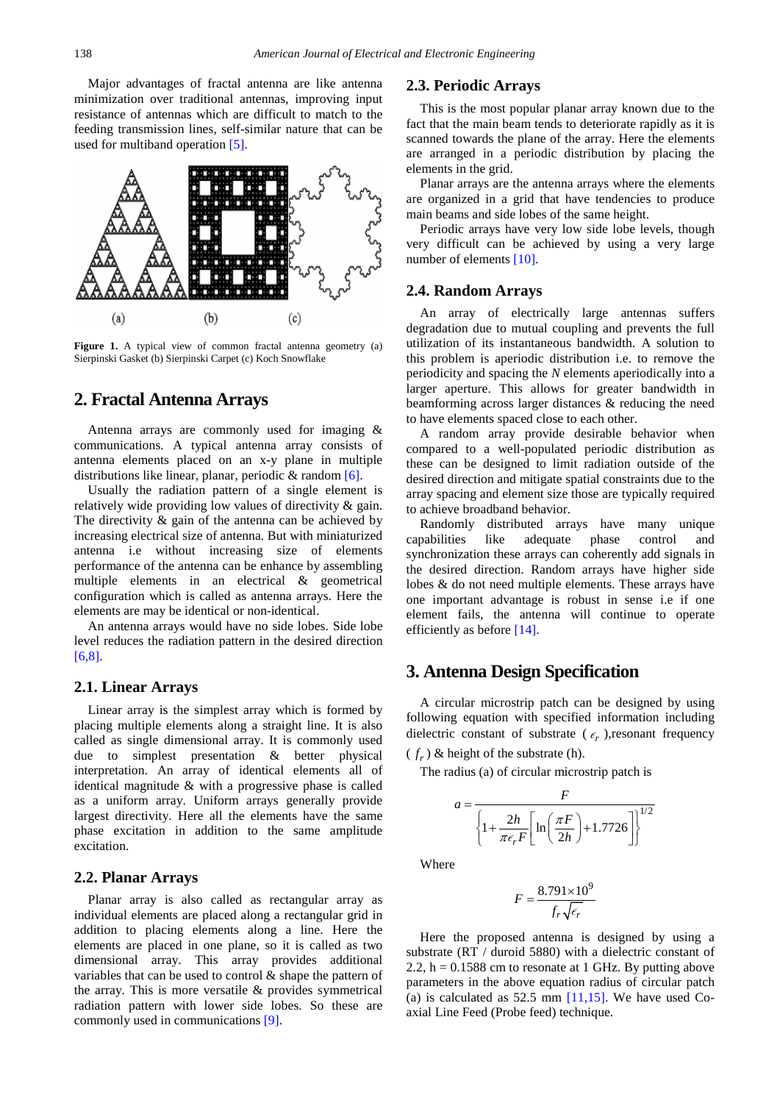Major advantages of fractal antenna are like antenna minimization over traditional antennas, improving input resistance of antennas which are difficult to match to the feeding transmission lines, self-similar nature that can be used for multiband operation [\[5\].](#page-3-4)



**Figure 1.** A typical view of common fractal antenna geometry (a) Sierpinski Gasket (b) Sierpinski Carpet (c) Koch Snowflake

## **2. Fractal Antenna Arrays**

Antenna arrays are commonly used for imaging & communications. A typical antenna array consists of antenna elements placed on an x-y plane in multiple distributions like linear, planar, periodic & random [\[6\].](#page-3-5)

Usually the radiation pattern of a single element is relatively wide providing low values of directivity & gain. The directivity  $\&$  gain of the antenna can be achieved by increasing electrical size of antenna. But with miniaturized antenna i.e without increasing size of elements performance of the antenna can be enhance by assembling multiple elements in an electrical & geometrical configuration which is called as antenna arrays. Here the elements are may be identical or non-identical.

An antenna arrays would have no side lobes. Side lobe level reduces the radiation pattern in the desired direction [\[6,8\].](#page-3-5)

## **2.1. Linear Arrays**

Linear array is the simplest array which is formed by placing multiple elements along a straight line. It is also called as single dimensional array. It is commonly used due to simplest presentation & better physical interpretation. An array of identical elements all of identical magnitude & with a progressive phase is called as a uniform array. Uniform arrays generally provide largest directivity. Here all the elements have the same phase excitation in addition to the same amplitude excitation.

#### **2.2. Planar Arrays**

Planar array is also called as rectangular array as individual elements are placed along a rectangular grid in addition to placing elements along a line. Here the elements are placed in one plane, so it is called as two dimensional array. This array provides additional variables that can be used to control & shape the pattern of the array. This is more versatile & provides symmetrical radiation pattern with lower side lobes. So these are commonly used in communication[s \[9\].](#page-3-6) 

### **2.3. Periodic Arrays**

This is the most popular planar array known due to the fact that the main beam tends to deteriorate rapidly as it is scanned towards the plane of the array. Here the elements are arranged in a periodic distribution by placing the elements in the grid.

Planar arrays are the antenna arrays where the elements are organized in a grid that have tendencies to produce main beams and side lobes of the same height.

Periodic arrays have very low side lobe levels, though very difficult can be achieved by using a very large number of elements [\[10\].](#page-3-7)

#### **2.4. Random Arrays**

An array of electrically large antennas suffers degradation due to mutual coupling and prevents the full utilization of its instantaneous bandwidth. A solution to this problem is aperiodic distribution i.e. to remove the periodicity and spacing the *N* elements aperiodically into a larger aperture. This allows for greater bandwidth in beamforming across larger distances & reducing the need to have elements spaced close to each other.

A random array provide desirable behavior when compared to a well-populated periodic distribution as these can be designed to limit radiation outside of the desired direction and mitigate spatial constraints due to the array spacing and element size those are typically required to achieve broadband behavior.

Randomly distributed arrays have many unique capabilities like adequate phase control and synchronization these arrays can coherently add signals in the desired direction. Random arrays have higher side lobes & do not need multiple elements. These arrays have one important advantage is robust in sense i.e if one element fails, the antenna will continue to operate efficiently as befor[e \[14\].](#page-3-8)

## **3. Antenna Design Specification**

A circular microstrip patch can be designed by using following equation with specified information including dielectric constant of substrate  $(\epsilon_r)$ , resonant frequency  $(f_r)$  & height of the substrate (h).

The radius (a) of circular microstrip patch is

$$
a = \frac{F}{\left\{1 + \frac{2h}{\pi \epsilon_r F} \left[\ln\left(\frac{\pi F}{2h}\right) + 1.7726\right]\right\}^{1/2}}
$$

Where

$$
F = \frac{8.791 \times 10^9}{f_r \sqrt{\epsilon_r}}
$$

Here the proposed antenna is designed by using a substrate (RT / duroid 5880) with a dielectric constant of 2.2,  $h = 0.1588$  cm to resonate at 1 GHz. By putting above parameters in the above equation radius of circular patch (a) is calculated as  $52.5$  mm  $[11,15]$ . We have used Coaxial Line Feed (Probe feed) technique.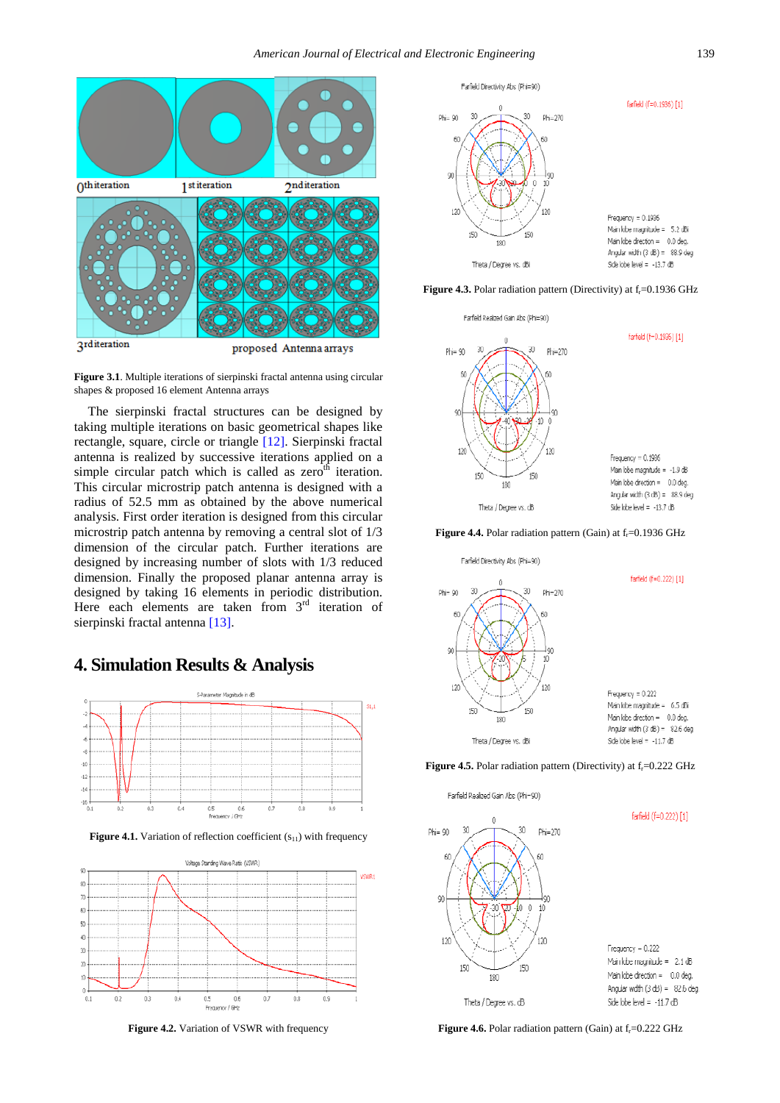

**Figure 3.1**. Multiple iterations of sierpinski fractal antenna using circular shapes & proposed 16 element Antenna arrays

The sierpinski fractal structures can be designed by taking multiple iterations on basic geometrical shapes like rectangle, square, circle or triangle [\[12\].](#page-3-10) Sierpinski fractal antenna is realized by successive iterations applied on a simple circular patch which is called as  $zero<sup>th</sup>$  iteration. This circular microstrip patch antenna is designed with a radius of 52.5 mm as obtained by the above numerical analysis. First order iteration is designed from this circular microstrip patch antenna by removing a central slot of 1/3 dimension of the circular patch. Further iterations are designed by increasing number of slots with 1/3 reduced dimension. Finally the proposed planar antenna array is designed by taking 16 elements in periodic distribution. Here each elements are taken from  $3<sup>rd</sup>$  iteration of sierpinski fractal antenn[a \[13\].](#page-3-11)

# **4. Simulation Results & Analysis**



**Figure 4.1.** Variation of reflection coefficient (S<sub>11</sub>) with frequency



**Figure 4.2.** Variation of VSWR with frequency



**Figure 4.3.** Polar radiation pattern (Directivity) at f<sub>r</sub>=0.1936 GHz









Farfield Realized Gain Abs (Phi-90)



**Figure 4.6.** Polar radiation pattern (Gain) at f<sub>r</sub>=0.222 GHz